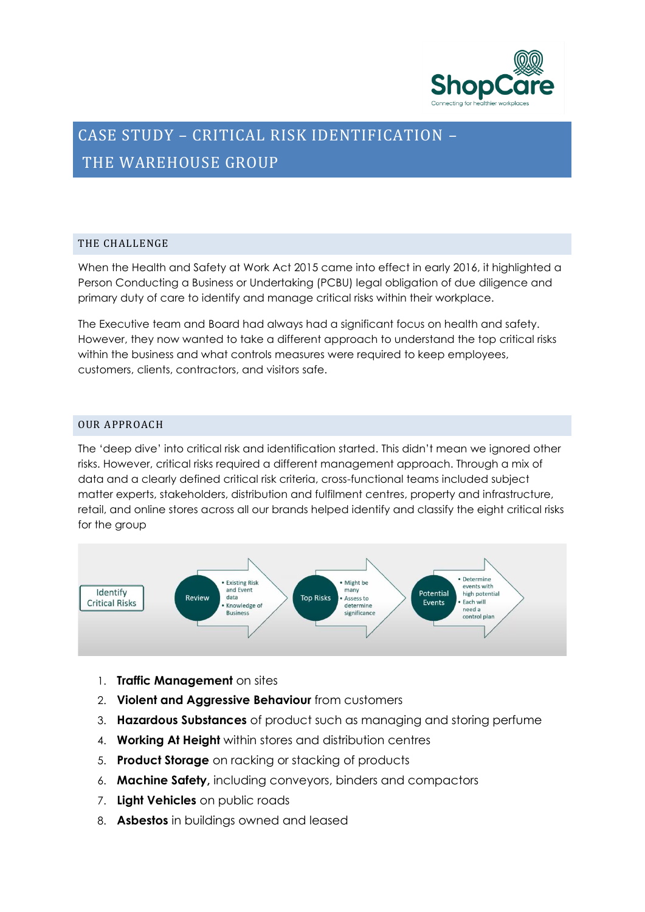

# CASE STUDY – CRITICAL RISK IDENTIFICATION – THE WAREHOUSE GROUP

# THE CHALLENGE

When the Health and Safety at Work Act 2015 came into effect in early 2016, it highlighted a Person Conducting a Business or Undertaking (PCBU) legal obligation of due diligence and primary duty of care to identify and manage critical risks within their workplace.

The Executive team and Board had always had a significant focus on health and safety. However, they now wanted to take a different approach to understand the top critical risks within the business and what controls measures were required to keep employees, customers, clients, contractors, and visitors safe.

# OUR APPROACH

The 'deep dive' into critical risk and identification started. This didn't mean we ignored other risks. However, critical risks required a different management approach. Through a mix of data and a clearly defined critical risk criteria, cross-functional teams included subject matter experts, stakeholders, distribution and fulfilment centres, property and infrastructure, retail, and online stores across all our brands helped identify and classify the eight critical risks for the group



- 1. **Traffic Management** on sites
- 2. **Violent and Aggressive Behaviour** from customers
- 3. **Hazardous Substances** of product such as managing and storing perfume
- 4. **Working At Height** within stores and distribution centres
- 5. **Product Storage** on racking or stacking of products
- 6. **Machine Safety,** including conveyors, binders and compactors
- 7. **Light Vehicles** on public roads
- 8. **Asbestos** in buildings owned and leased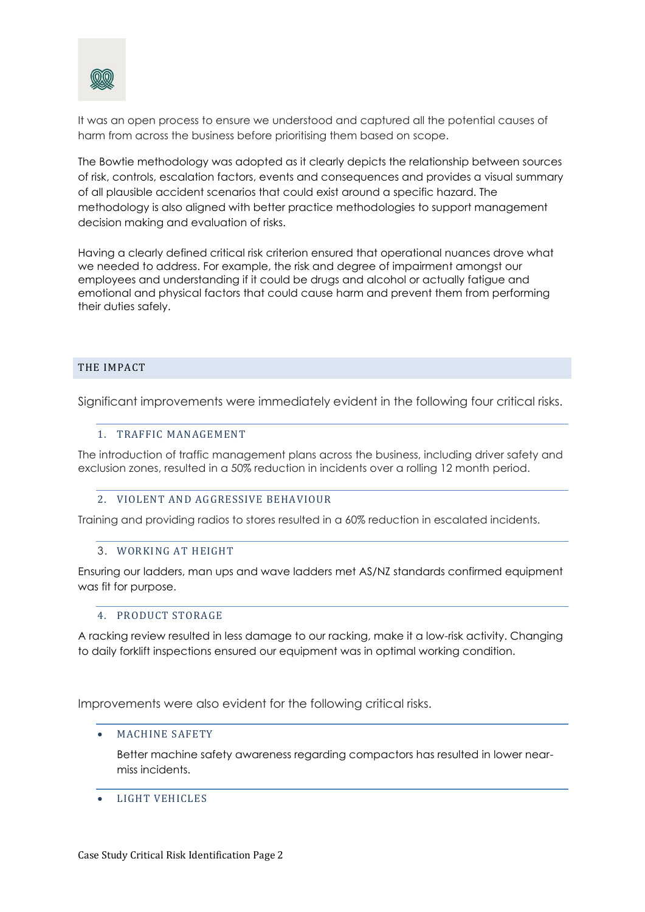

It was an open process to ensure we understood and captured all the potential causes of harm from across the business before prioritising them based on scope.

The Bowtie methodology was adopted as it clearly depicts the relationship between sources of risk, controls, escalation factors, events and consequences and provides a visual summary of all plausible accident scenarios that could exist around a specific hazard. The methodology is also aligned with better practice methodologies to support management decision making and evaluation of risks.

Having a clearly defined critical risk criterion ensured that operational nuances drove what we needed to address. For example, the risk and degree of impairment amongst our employees and understanding if it could be drugs and alcohol or actually fatigue and emotional and physical factors that could cause harm and prevent them from performing their duties safely.

## THE IMPACT

Significant improvements were immediately evident in the following four critical risks.

## 1. TRAFFIC MANAGEMENT

The introduction of traffic management plans across the business, including driver safety and exclusion zones, resulted in a 50% reduction in incidents over a rolling 12 month period.

#### 2. VIOLENT AND AGGRESSIVE BEHAVIOUR

Training and providing radios to stores resulted in a 60% reduction in escalated incidents.

#### 3. WORKING AT HEIGHT

Ensuring our ladders, man ups and wave ladders met AS/NZ standards confirmed equipment was fit for purpose.

## 4. PRODUCT STORAGE

A racking review resulted in less damage to our racking, make it a low-risk activity. Changing to daily forklift inspections ensured our equipment was in optimal working condition.

Improvements were also evident for the following critical risks.

#### • MACHINE SAFETY

Better machine safety awareness regarding compactors has resulted in lower nearmiss incidents.

• LIGHT VEHICLES